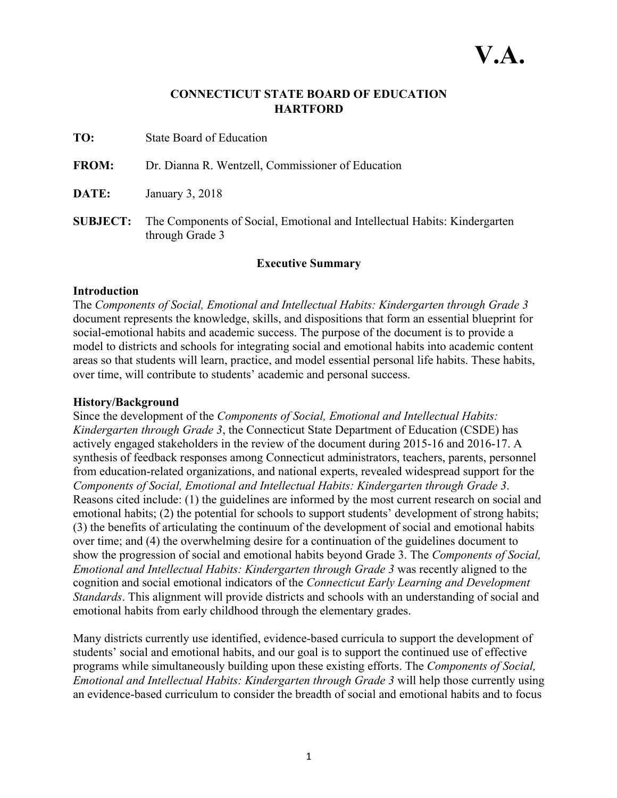## **CONNECTICUT STATE BOARD OF EDUCATION HARTFORD**

- **TO:** State Board of Education
- **FROM:** Dr. Dianna R. Wentzell, Commissioner of Education
- **DATE:** January 3, 2018
- **SUBJECT:** The Components of Social, Emotional and Intellectual Habits: Kindergarten through Grade 3

#### **Executive Summary**

#### **Introduction**

The *Components of Social, Emotional and Intellectual Habits: Kindergarten through Grade 3* document represents the knowledge, skills, and dispositions that form an essential blueprint for social-emotional habits and academic success. The purpose of the document is to provide a model to districts and schools for integrating social and emotional habits into academic content areas so that students will learn, practice, and model essential personal life habits. These habits, over time, will contribute to students' academic and personal success.

#### **History/Background**

Since the development of the *Components of Social, Emotional and Intellectual Habits: Kindergarten through Grade 3*, the Connecticut State Department of Education (CSDE) has actively engaged stakeholders in the review of the document during 2015-16 and 2016-17. A synthesis of feedback responses among Connecticut administrators, teachers, parents, personnel from education-related organizations, and national experts, revealed widespread support for the *Components of Social, Emotional and Intellectual Habits: Kindergarten through Grade 3*. Reasons cited include: (1) the guidelines are informed by the most current research on social and emotional habits; (2) the potential for schools to support students' development of strong habits; (3) the benefits of articulating the continuum of the development of social and emotional habits over time; and (4) the overwhelming desire for a continuation of the guidelines document to show the progression of social and emotional habits beyond Grade 3. The *Components of Social, Emotional and Intellectual Habits: Kindergarten through Grade 3* was recently aligned to the cognition and social emotional indicators of the *Connecticut Early Learning and Development Standards*. This alignment will provide districts and schools with an understanding of social and emotional habits from early childhood through the elementary grades.

Many districts currently use identified, evidence-based curricula to support the development of students' social and emotional habits, and our goal is to support the continued use of effective programs while simultaneously building upon these existing efforts. The *Components of Social, Emotional and Intellectual Habits: Kindergarten through Grade 3* will help those currently using an evidence-based curriculum to consider the breadth of social and emotional habits and to focus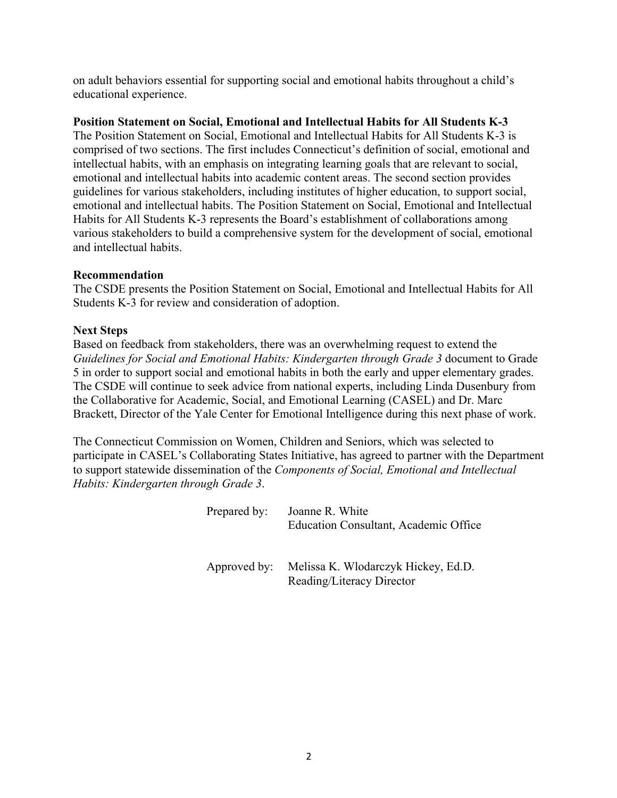on adult behaviors essential for supporting social and emotional habits throughout a child's educational experience.

#### **Position Statement on Social, Emotional and Intellectual Habits for All Students K-3**

The Position Statement on Social, Emotional and Intellectual Habits for All Students K-3 is comprised of two sections. The first includes Connecticut's definition of social, emotional and intellectual habits, with an emphasis on integrating learning goals that are relevant to social, emotional and intellectual habits into academic content areas. The second section provides guidelines for various stakeholders, including institutes of higher education, to support social, emotional and intellectual habits. The Position Statement on Social, Emotional and Intellectual Habits for All Students K-3 represents the Board's establishment of collaborations among various stakeholders to build a comprehensive system for the development of social, emotional and intellectual habits.

#### **Recommendation**

The CSDE presents the Position Statement on Social, Emotional and Intellectual Habits for All Students K-3 for review and consideration of adoption.

#### **Next Steps**

Based on feedback from stakeholders, there was an overwhelming request to extend the *Guidelines for Social and Emotional Habits: Kindergarten through Grade 3* document to Grade 5 in order to support social and emotional habits in both the early and upper elementary grades. The CSDE will continue to seek advice from national experts, including Linda Dusenbury from the Collaborative for Academic, Social, and Emotional Learning (CASEL) and Dr. Marc Brackett, Director of the Yale Center for Emotional Intelligence during this next phase of work.

The Connecticut Commission on Women, Children and Seniors, which was selected to participate in CASEL's Collaborating States Initiative, has agreed to partner with the Department to support statewide dissemination of the *Components of Social, Emotional and Intellectual Habits: Kindergarten through Grade 3*.

| Prepared by: | Joanne R. White<br>Education Consultant, Academic Office |
|--------------|----------------------------------------------------------|
|              | Approved by: Melissa K. Wlodarczyk Hickey, Ed.D.         |

Reading/Literacy Director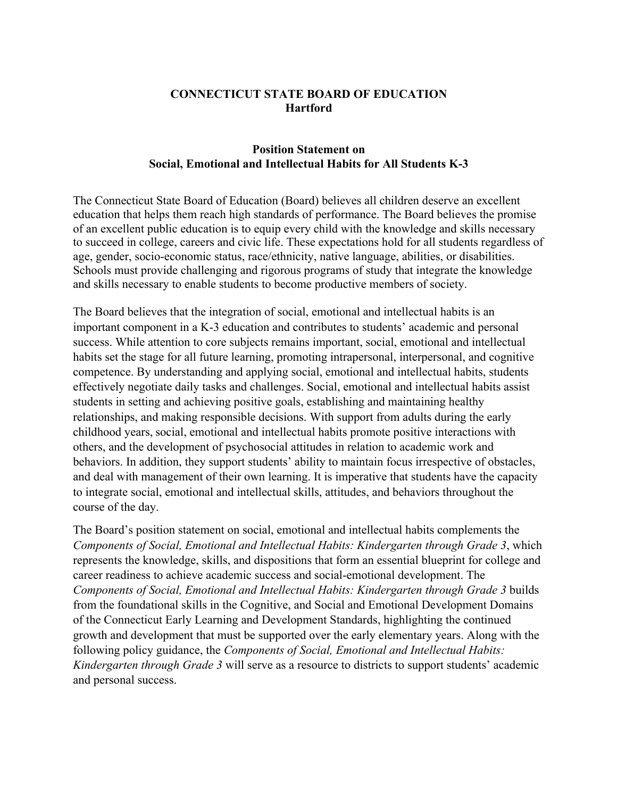## **CONNECTICUT STATE BOARD OF EDUCATION Hartford**

#### **Position Statement on Social, Emotional and Intellectual Habits for All Students K-3**

The Connecticut State Board of Education (Board) believes all children deserve an excellent education that helps them reach high standards of performance. The Board believes the promise of an excellent public education is to equip every child with the knowledge and skills necessary to succeed in college, careers and civic life. These expectations hold for all students regardless of age, gender, socio-economic status, race/ethnicity, native language, abilities, or disabilities. Schools must provide challenging and rigorous programs of study that integrate the knowledge and skills necessary to enable students to become productive members of society.

The Board believes that the integration of social, emotional and intellectual habits is an important component in a K-3 education and contributes to students' academic and personal success. While attention to core subjects remains important, social, emotional and intellectual habits set the stage for all future learning, promoting intrapersonal, interpersonal, and cognitive competence. By understanding and applying social, emotional and intellectual habits, students effectively negotiate daily tasks and challenges. Social, emotional and intellectual habits assist students in setting and achieving positive goals, establishing and maintaining healthy relationships, and making responsible decisions. With support from adults during the early childhood years, social, emotional and intellectual habits promote positive interactions with others, and the development of psychosocial attitudes in relation to academic work and behaviors. In addition, they support students' ability to maintain focus irrespective of obstacles, and deal with management of their own learning. It is imperative that students have the capacity to integrate social, emotional and intellectual skills, attitudes, and behaviors throughout the course of the day.

The Board's position statement on social, emotional and intellectual habits complements the *Components of Social, Emotional and Intellectual Habits: Kindergarten through Grade 3*, which represents the knowledge, skills, and dispositions that form an essential blueprint for college and career readiness to achieve academic success and social-emotional development. The *Components of Social, Emotional and Intellectual Habits: Kindergarten through Grade 3* builds from the foundational skills in the Cognitive, and Social and Emotional Development Domains of the Connecticut Early Learning and Development Standards, highlighting the continued growth and development that must be supported over the early elementary years. Along with the following policy guidance, the *Components of Social, Emotional and Intellectual Habits: Kindergarten through Grade 3* will serve as a resource to districts to support students' academic and personal success.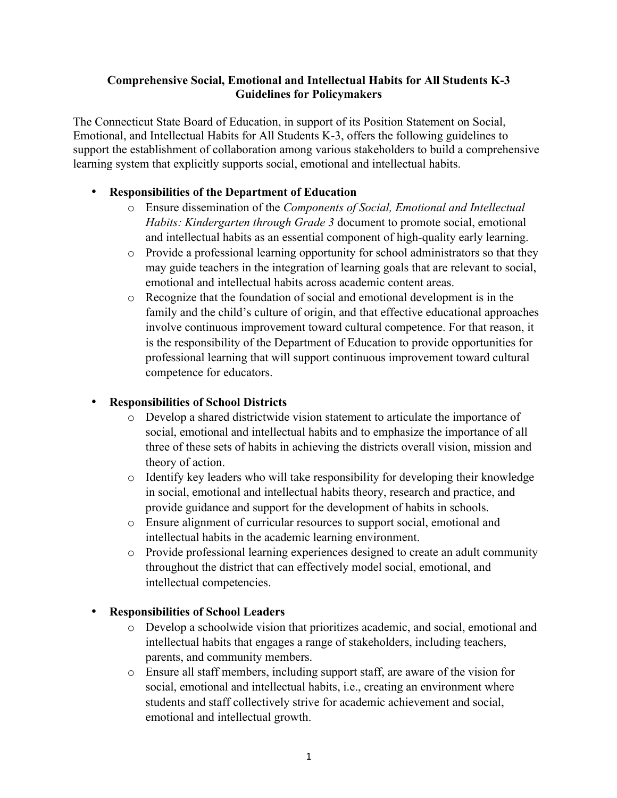#### **Comprehensive Social, Emotional and Intellectual Habits for All Students K-3 Guidelines for Policymakers**

The Connecticut State Board of Education, in support of its Position Statement on Social, Emotional, and Intellectual Habits for All Students K-3, offers the following guidelines to support the establishment of collaboration among various stakeholders to build a comprehensive learning system that explicitly supports social, emotional and intellectual habits.

## • **Responsibilities of the Department of Education**

- o Ensure dissemination of the *Components of Social, Emotional and Intellectual Habits: Kindergarten through Grade 3* document to promote social, emotional and intellectual habits as an essential component of high-quality early learning.
- o Provide a professional learning opportunity for school administrators so that they may guide teachers in the integration of learning goals that are relevant to social, emotional and intellectual habits across academic content areas.
- o Recognize that the foundation of social and emotional development is in the family and the child's culture of origin, and that effective educational approaches involve continuous improvement toward cultural competence. For that reason, it is the responsibility of the Department of Education to provide opportunities for professional learning that will support continuous improvement toward cultural competence for educators.

## • **Responsibilities of School Districts**

- o Develop a shared districtwide vision statement to articulate the importance of social, emotional and intellectual habits and to emphasize the importance of all three of these sets of habits in achieving the districts overall vision, mission and theory of action.
- o Identify key leaders who will take responsibility for developing their knowledge in social, emotional and intellectual habits theory, research and practice, and provide guidance and support for the development of habits in schools.
- o Ensure alignment of curricular resources to support social, emotional and intellectual habits in the academic learning environment.
- o Provide professional learning experiences designed to create an adult community throughout the district that can effectively model social, emotional, and intellectual competencies.

## • **Responsibilities of School Leaders**

- o Develop a schoolwide vision that prioritizes academic, and social, emotional and intellectual habits that engages a range of stakeholders, including teachers, parents, and community members.
- o Ensure all staff members, including support staff, are aware of the vision for social, emotional and intellectual habits, i.e., creating an environment where students and staff collectively strive for academic achievement and social, emotional and intellectual growth.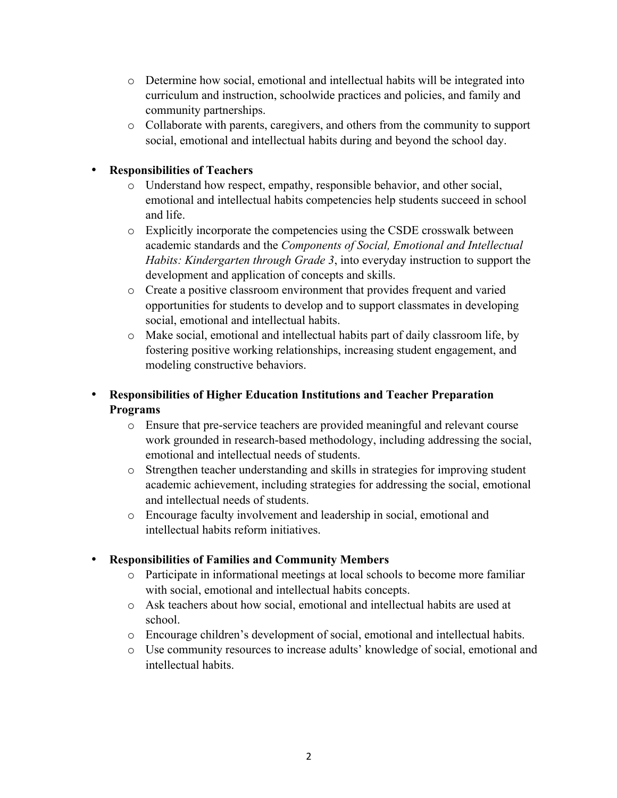- o Determine how social, emotional and intellectual habits will be integrated into curriculum and instruction, schoolwide practices and policies, and family and community partnerships.
- o Collaborate with parents, caregivers, and others from the community to support social, emotional and intellectual habits during and beyond the school day.

## • **Responsibilities of Teachers**

- o Understand how respect, empathy, responsible behavior, and other social, emotional and intellectual habits competencies help students succeed in school and life.
- o Explicitly incorporate the competencies using the CSDE crosswalk between academic standards and the *Components of Social, Emotional and Intellectual Habits: Kindergarten through Grade 3*, into everyday instruction to support the development and application of concepts and skills.
- o Create a positive classroom environment that provides frequent and varied opportunities for students to develop and to support classmates in developing social, emotional and intellectual habits.
- o Make social, emotional and intellectual habits part of daily classroom life, by fostering positive working relationships, increasing student engagement, and modeling constructive behaviors.

# • **Responsibilities of Higher Education Institutions and Teacher Preparation Programs**

- o Ensure that pre-service teachers are provided meaningful and relevant course work grounded in research-based methodology, including addressing the social, emotional and intellectual needs of students.
- o Strengthen teacher understanding and skills in strategies for improving student academic achievement, including strategies for addressing the social, emotional and intellectual needs of students.
- o Encourage faculty involvement and leadership in social, emotional and intellectual habits reform initiatives.

# • **Responsibilities of Families and Community Members**

- o Participate in informational meetings at local schools to become more familiar with social, emotional and intellectual habits concepts.
- o Ask teachers about how social, emotional and intellectual habits are used at school.
- o Encourage children's development of social, emotional and intellectual habits.
- o Use community resources to increase adults' knowledge of social, emotional and intellectual habits.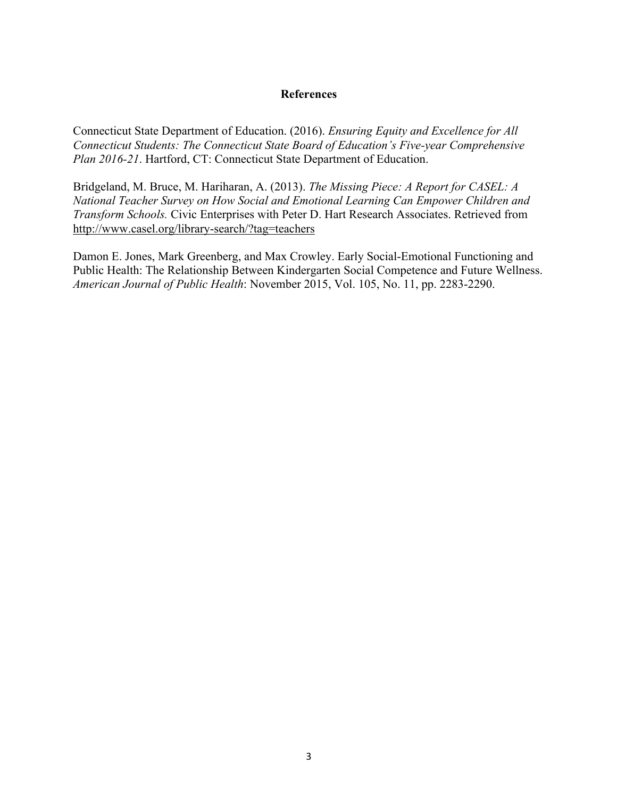#### **References**

Connecticut State Department of Education. (2016). *Ensuring Equity and Excellence for All Connecticut Students: The Connecticut State Board of Education's Five-year Comprehensive Plan 2016-21*. Hartford, CT: Connecticut State Department of Education.

Bridgeland, M. Bruce, M. Hariharan, A. (2013). *The Missing Piece: A Report for CASEL: A National Teacher Survey on How Social and Emotional Learning Can Empower Children and Transform Schools.* Civic Enterprises with Peter D. Hart Research Associates. Retrieved from http://www.casel.org/library-search/?tag=teachers

Damon E. Jones, Mark Greenberg, and Max Crowley. Early Social-Emotional Functioning and Public Health: The Relationship Between Kindergarten Social Competence and Future Wellness. *American Journal of Public Health*: November 2015, Vol. 105, No. 11, pp. 2283-2290.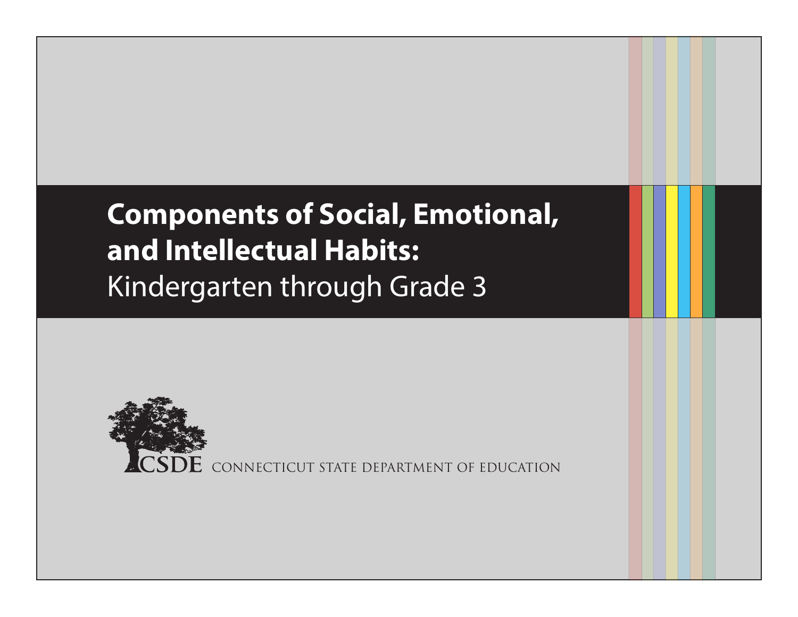# **Components of Social, Emotional, and Intellectual Habits:** Kindergarten through Grade 3



CONNECTICUT STATE DEPARTMENT OF EDUCATION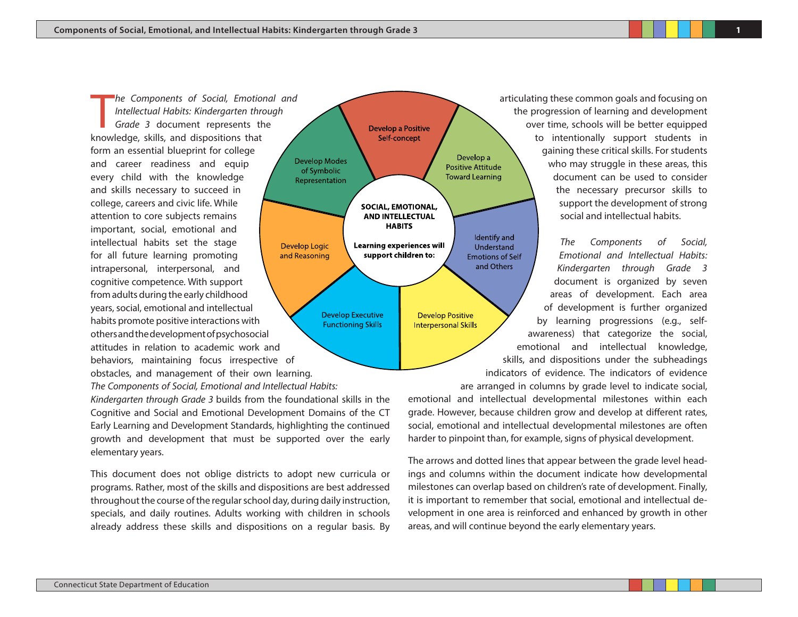he Components of Social, Emotion<br>Intellectual Habits: Kindergarten throwledge, skills, and dispositions that *he Components of Social, Emotional and Intellectual Habits: Kindergarten through Grade 3* document represents the form an essential blueprint for college and career readiness and equip every child with the knowledge and skills necessary to succeed in college, careers and civic life. While attention to core subjects remains important, social, emotional and intellectual habits set the stage for all future learning promoting intrapersonal, interpersonal, and cognitive competence. With support from adults during the early childhood years, social, emotional and intellectual habits promote positive interactions with others and the development of psychosocial attitudes in relation to academic work and behaviors, maintaining focus irrespective of obstacles, and management of their own learning.

*The Components of Social, Emotional and Intellectual Habits:* 

*Kindergarten through Grade 3* builds from the foundational skills in the Cognitive and Social and Emotional Development Domains of the CT Early Learning and Development Standards, highlighting the continued growth and development that must be supported over the early elementary years.

This document does not oblige districts to adopt new curricula or programs. Rather, most of the skills and dispositions are best addressed throughout the course of the regular school day, during daily instruction, specials, and daily routines. Adults working with children in schools already address these skills and dispositions on a regular basis. By



articulating these common goals and focusing on the progression of learning and development over time, schools will be better equipped to intentionally support students in gaining these critical skills. For students who may struggle in these areas, this document can be used to consider the necessary precursor skills to support the development of strong social and intellectual habits.

*The Components of Social, Emotional and Intellectual Habits: Kindergarten through Grade 3*  document is organized by seven areas of development. Each area of development is further organized by learning progressions (e.g., selfawareness) that categorize the social, emotional and intellectual knowledge, skills, and dispositions under the subheadings indicators of evidence. The indicators of evidence are arranged in columns by grade level to indicate social, emotional and intellectual developmental milestones within each

grade. However, because children grow and develop at different rates, social, emotional and intellectual developmental milestones are often harder to pinpoint than, for example, signs of physical development.

The arrows and dotted lines that appear between the grade level headings and columns within the document indicate how developmental milestones can overlap based on children's rate of development. Finally, it is important to remember that social, emotional and intellectual development in one area is reinforced and enhanced by growth in other areas, and will continue beyond the early elementary years.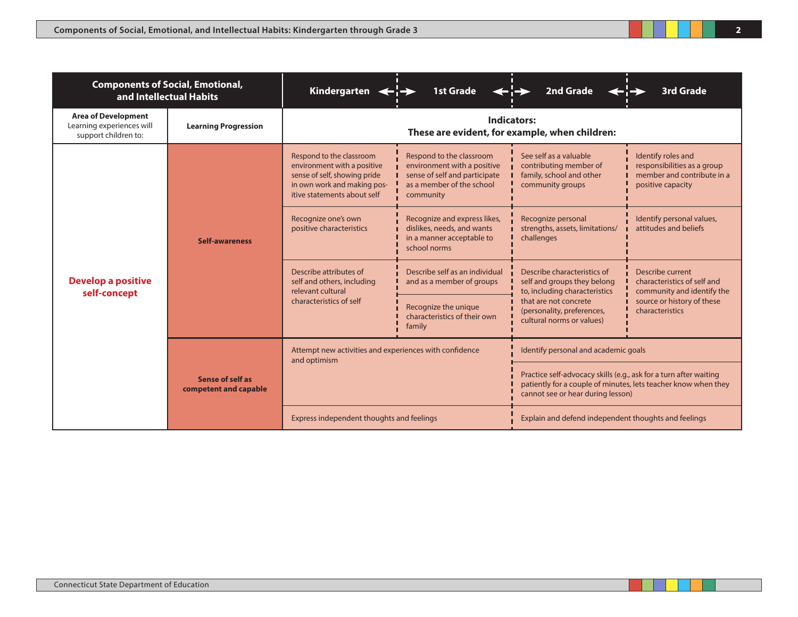| <b>Components of Social, Emotional,</b><br>and Intellectual Habits              |                                                  | Kindergarten $\leftarrow$                                                                                                                             | <b>1st Grade</b>                                                                                                                   | <b>2nd Grade</b>                                                                                                                                                                | <b>3rd Grade</b>                                                                                                               |  |
|---------------------------------------------------------------------------------|--------------------------------------------------|-------------------------------------------------------------------------------------------------------------------------------------------------------|------------------------------------------------------------------------------------------------------------------------------------|---------------------------------------------------------------------------------------------------------------------------------------------------------------------------------|--------------------------------------------------------------------------------------------------------------------------------|--|
| <b>Area of Development</b><br>Learning experiences will<br>support children to: | <b>Learning Progression</b>                      | Indicators:<br>These are evident, for example, when children:                                                                                         |                                                                                                                                    |                                                                                                                                                                                 |                                                                                                                                |  |
| <b>Develop a positive</b><br>self-concept                                       | <b>Self-awareness</b>                            | Respond to the classroom<br>environment with a positive<br>sense of self, showing pride<br>in own work and making pos-<br>itive statements about self | Respond to the classroom<br>environment with a positive<br>sense of self and participate<br>as a member of the school<br>community | See self as a valuable<br>contributing member of<br>family, school and other<br>community groups                                                                                | Identify roles and<br>responsibilities as a group<br>member and contribute in a<br>positive capacity                           |  |
|                                                                                 |                                                  | Recognize one's own<br>positive characteristics                                                                                                       | Recognize and express likes,<br>dislikes, needs, and wants<br>in a manner acceptable to<br>school norms                            | Recognize personal<br>strengths, assets, limitations/<br>challenges                                                                                                             | Identify personal values,<br>attitudes and beliefs                                                                             |  |
|                                                                                 |                                                  | Describe attributes of<br>self and others, including<br>relevant cultural                                                                             | Describe self as an individual<br>and as a member of groups                                                                        | Describe characteristics of<br>self and groups they belong<br>to, including characteristics<br>that are not concrete<br>(personality, preferences,<br>cultural norms or values) | Describe current<br>characteristics of self and<br>community and identify the<br>source or history of these<br>characteristics |  |
|                                                                                 |                                                  | characteristics of self                                                                                                                               | Recognize the unique<br>characteristics of their own<br>family                                                                     |                                                                                                                                                                                 |                                                                                                                                |  |
|                                                                                 |                                                  | Attempt new activities and experiences with confidence<br>and optimism                                                                                |                                                                                                                                    | Identify personal and academic goals                                                                                                                                            |                                                                                                                                |  |
|                                                                                 | <b>Sense of self as</b><br>competent and capable |                                                                                                                                                       |                                                                                                                                    | Practice self-advocacy skills (e.g., ask for a turn after waiting<br>patiently for a couple of minutes, lets teacher know when they<br>cannot see or hear during lesson)        |                                                                                                                                |  |
|                                                                                 |                                                  | Express independent thoughts and feelings                                                                                                             |                                                                                                                                    | Explain and defend independent thoughts and feelings                                                                                                                            |                                                                                                                                |  |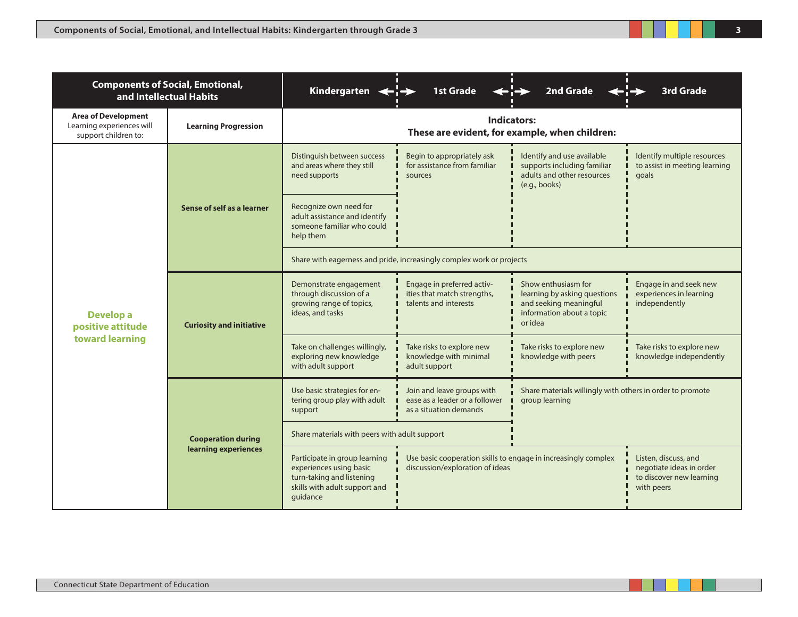| <b>Components of Social, Emotional,</b><br>and Intellectual Habits              |                                 | Kindergarten $\leftarrow$ $\rightarrow$                                                                                            | <b>1st Grade</b>                                                                                  | 2nd Grade                                                                                                             | <b>3rd Grade</b>                                                                           |  |  |
|---------------------------------------------------------------------------------|---------------------------------|------------------------------------------------------------------------------------------------------------------------------------|---------------------------------------------------------------------------------------------------|-----------------------------------------------------------------------------------------------------------------------|--------------------------------------------------------------------------------------------|--|--|
| <b>Area of Development</b><br>Learning experiences will<br>support children to: | <b>Learning Progression</b>     | Indicators:<br>These are evident, for example, when children:                                                                      |                                                                                                   |                                                                                                                       |                                                                                            |  |  |
| Develop a<br>positive attitude<br>toward learning                               | Sense of self as a learner      | Distinguish between success<br>and areas where they still<br>need supports                                                         | Begin to appropriately ask<br>for assistance from familiar<br>sources                             | Identify and use available<br>supports including familiar<br>adults and other resources<br>(e.g., books)              | Identify multiple resources<br>to assist in meeting learning<br>goals                      |  |  |
|                                                                                 |                                 | Recognize own need for<br>adult assistance and identify<br>someone familiar who could<br>help them                                 |                                                                                                   |                                                                                                                       |                                                                                            |  |  |
|                                                                                 |                                 |                                                                                                                                    | Share with eagerness and pride, increasingly complex work or projects                             |                                                                                                                       |                                                                                            |  |  |
|                                                                                 | <b>Curiosity and initiative</b> | Demonstrate engagement<br>through discussion of a<br>growing range of topics,<br>ideas, and tasks                                  | Engage in preferred activ-<br>ities that match strengths,<br>talents and interests                | Show enthusiasm for<br>learning by asking questions<br>and seeking meaningful<br>information about a topic<br>or idea | Engage in and seek new<br>experiences in learning<br>independently                         |  |  |
|                                                                                 |                                 | Take on challenges willingly,<br>exploring new knowledge<br>with adult support                                                     | Take risks to explore new<br>knowledge with minimal<br>adult support                              | Take risks to explore new<br>knowledge with peers                                                                     | Take risks to explore new<br>knowledge independently                                       |  |  |
|                                                                                 |                                 | Use basic strategies for en-<br>tering group play with adult<br>support                                                            | Join and leave groups with<br>ease as a leader or a follower<br>as a situation demands            | Share materials willingly with others in order to promote<br>group learning                                           |                                                                                            |  |  |
|                                                                                 | <b>Cooperation during</b>       | Share materials with peers with adult support                                                                                      |                                                                                                   |                                                                                                                       |                                                                                            |  |  |
|                                                                                 | learning experiences            | Participate in group learning<br>experiences using basic<br>turn-taking and listening<br>skills with adult support and<br>quidance | Use basic cooperation skills to engage in increasingly complex<br>discussion/exploration of ideas |                                                                                                                       | Listen, discuss, and<br>negotiate ideas in order<br>to discover new learning<br>with peers |  |  |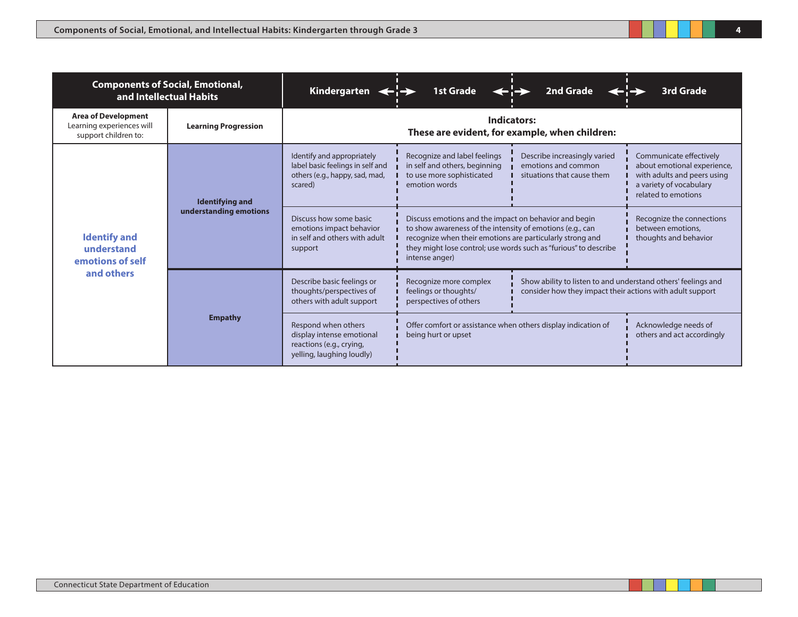| <b>Components of Social, Emotional,</b><br>and Intellectual Habits              |                             | Kindergarten $\leftarrow$                                                                                   | <b>1st Grade</b>                                                                                                                                                                                                                                                      | 2nd Grade                                                                                                                  | <b>3rd Grade</b>                                                                                                                        |  |
|---------------------------------------------------------------------------------|-----------------------------|-------------------------------------------------------------------------------------------------------------|-----------------------------------------------------------------------------------------------------------------------------------------------------------------------------------------------------------------------------------------------------------------------|----------------------------------------------------------------------------------------------------------------------------|-----------------------------------------------------------------------------------------------------------------------------------------|--|
| <b>Area of Development</b><br>Learning experiences will<br>support children to: | <b>Learning Progression</b> | Indicators:<br>These are evident, for example, when children:                                               |                                                                                                                                                                                                                                                                       |                                                                                                                            |                                                                                                                                         |  |
| <b>Identify and</b><br>understand<br>emotions of self<br>and others             | <b>Identifying and</b>      | Identify and appropriately<br>label basic feelings in self and<br>others (e.g., happy, sad, mad,<br>scared) | Recognize and label feelings<br>in self and others, beginning<br>to use more sophisticated<br>emotion words                                                                                                                                                           | Describe increasingly varied<br>emotions and common<br>situations that cause them                                          | Communicate effectively<br>about emotional experience,<br>with adults and peers using<br>a variety of vocabulary<br>related to emotions |  |
|                                                                                 | understanding emotions      | Discuss how some basic<br>emotions impact behavior<br>in self and others with adult<br>support              | Discuss emotions and the impact on behavior and begin<br>to show awareness of the intensity of emotions (e.g., can<br>recognize when their emotions are particularly strong and<br>they might lose control; use words such as "furious" to describe<br>intense anger) |                                                                                                                            | Recognize the connections<br>between emotions.<br>thoughts and behavior                                                                 |  |
|                                                                                 | <b>Empathy</b>              | Describe basic feelings or<br>thoughts/perspectives of<br>others with adult support                         | Recognize more complex<br>feelings or thoughts/<br>perspectives of others                                                                                                                                                                                             | Show ability to listen to and understand others' feelings and<br>consider how they impact their actions with adult support |                                                                                                                                         |  |
|                                                                                 |                             | Respond when others<br>display intense emotional<br>reactions (e.g., crying,<br>yelling, laughing loudly)   | Offer comfort or assistance when others display indication of<br>being hurt or upset                                                                                                                                                                                  |                                                                                                                            | Acknowledge needs of<br>others and act accordingly                                                                                      |  |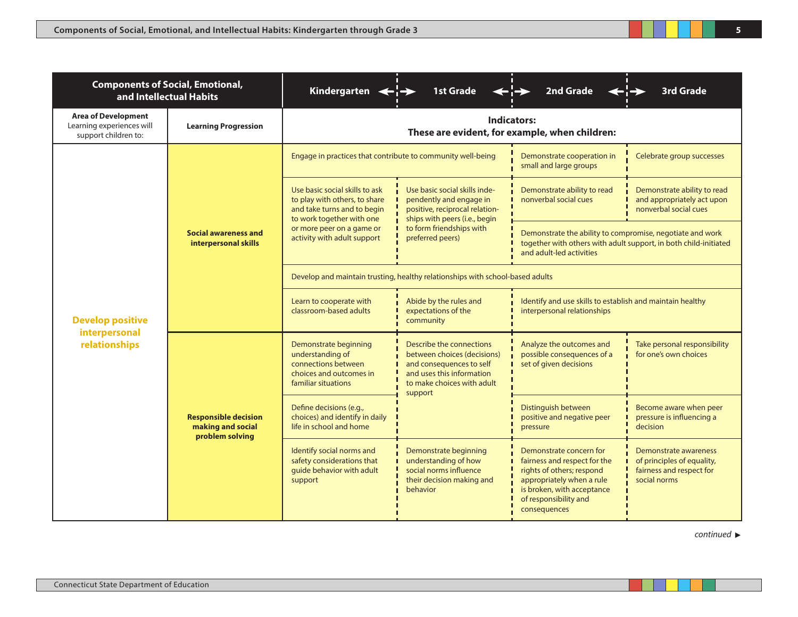| <b>Components of Social, Emotional,</b><br>and Intellectual Habits              |                                                                                                                                                                                                                                                                                                                       | Kindergarten $\leftarrow$ $\rightarrow$                                                                                     | <b>1st Grade</b>                                                                                                                                          | 2nd Grade                                                                                                                                                                                | <b>3rd Grade</b>                                                                                                                                                                                                            |  |  |
|---------------------------------------------------------------------------------|-----------------------------------------------------------------------------------------------------------------------------------------------------------------------------------------------------------------------------------------------------------------------------------------------------------------------|-----------------------------------------------------------------------------------------------------------------------------|-----------------------------------------------------------------------------------------------------------------------------------------------------------|------------------------------------------------------------------------------------------------------------------------------------------------------------------------------------------|-----------------------------------------------------------------------------------------------------------------------------------------------------------------------------------------------------------------------------|--|--|
| <b>Area of Development</b><br>Learning experiences will<br>support children to: | <b>Learning Progression</b>                                                                                                                                                                                                                                                                                           | <b>Indicators:</b><br>These are evident, for example, when children:                                                        |                                                                                                                                                           |                                                                                                                                                                                          |                                                                                                                                                                                                                             |  |  |
|                                                                                 |                                                                                                                                                                                                                                                                                                                       | Engage in practices that contribute to community well-being                                                                 |                                                                                                                                                           | Demonstrate cooperation in<br>small and large groups                                                                                                                                     | Celebrate group successes                                                                                                                                                                                                   |  |  |
|                                                                                 |                                                                                                                                                                                                                                                                                                                       | Use basic social skills to ask<br>to play with others, to share<br>and take turns and to begin<br>to work together with one | Use basic social skills inde-<br>pendently and engage in<br>positive, reciprocal relation-<br>ships with peers (i.e., begin                               | Demonstrate ability to read<br>nonverbal social cues                                                                                                                                     | Demonstrate ability to read<br>and appropriately act upon<br>nonverbal social cues                                                                                                                                          |  |  |
|                                                                                 | <b>Social awareness and</b><br>interpersonal skills                                                                                                                                                                                                                                                                   | or more peer on a game or<br>activity with adult support                                                                    | to form friendships with<br>preferred peers)                                                                                                              | Demonstrate the ability to compromise, negotiate and work<br>together with others with adult support, in both child-initiated<br>and adult-led activities                                |                                                                                                                                                                                                                             |  |  |
|                                                                                 |                                                                                                                                                                                                                                                                                                                       | Develop and maintain trusting, healthy relationships with school-based adults                                               |                                                                                                                                                           |                                                                                                                                                                                          |                                                                                                                                                                                                                             |  |  |
| <b>Develop positive</b><br>interpersonal<br>relationships                       |                                                                                                                                                                                                                                                                                                                       | Learn to cooperate with<br>classroom-based adults                                                                           | Abide by the rules and<br>expectations of the<br>community                                                                                                | Identify and use skills to establish and maintain healthy<br>interpersonal relationships                                                                                                 | Take personal responsibility<br>for one's own choices<br>Become aware when peer<br>pressure is influencing a<br>decision<br>Demonstrate awareness<br>of principles of equality,<br>fairness and respect for<br>social norms |  |  |
|                                                                                 | Demonstrate beginning<br>understanding of<br>connections between<br>choices and outcomes in<br>familiar situations<br>Define decisions (e.g.,<br><b>Responsible decision</b><br>making and social<br>life in school and home<br>problem solving<br>Identify social norms and<br>safety considerations that<br>support |                                                                                                                             | Describe the connections<br>between choices (decisions)<br>and consequences to self<br>and uses this information<br>to make choices with adult<br>support | Analyze the outcomes and<br>possible consequences of a<br>set of given decisions                                                                                                         |                                                                                                                                                                                                                             |  |  |
|                                                                                 |                                                                                                                                                                                                                                                                                                                       | choices) and identify in daily                                                                                              |                                                                                                                                                           | Distinguish between<br>positive and negative peer<br>pressure                                                                                                                            |                                                                                                                                                                                                                             |  |  |
|                                                                                 |                                                                                                                                                                                                                                                                                                                       | guide behavior with adult                                                                                                   | Demonstrate beginning<br>understanding of how<br>social norms influence<br>their decision making and<br>behavior                                          | Demonstrate concern for<br>fairness and respect for the<br>rights of others; respond<br>appropriately when a rule<br>is broken, with acceptance<br>of responsibility and<br>consequences |                                                                                                                                                                                                                             |  |  |

**5**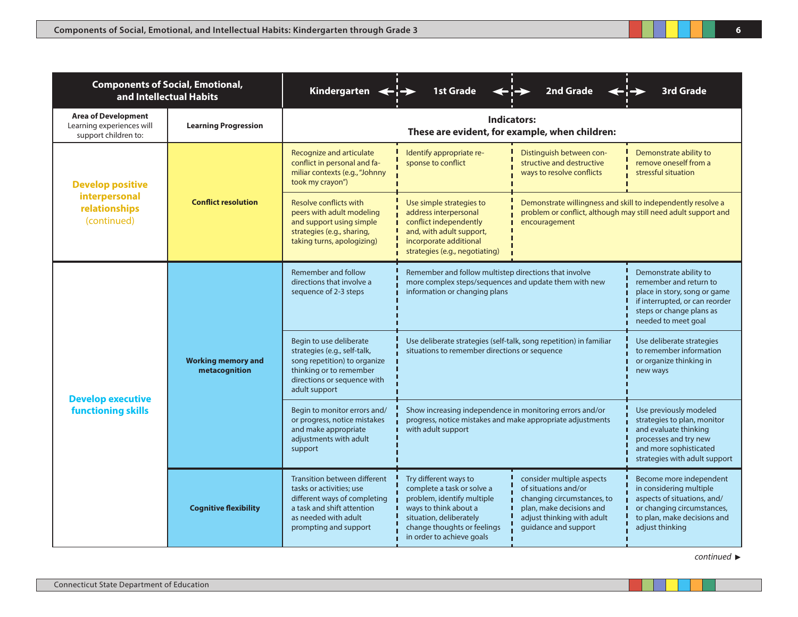| <b>Components of Social, Emotional,</b><br>and Intellectual Habits              |                                            | Kindergarten $\leftarrow$ $\rightarrow$                                                                                                                                 | <b>1st Grade</b>                                                                                                                                                                                                                                                                                                       | 2nd Grade                                                                                                                                                         | <b>3rd Grade</b>                                                                                                                                                      |  |
|---------------------------------------------------------------------------------|--------------------------------------------|-------------------------------------------------------------------------------------------------------------------------------------------------------------------------|------------------------------------------------------------------------------------------------------------------------------------------------------------------------------------------------------------------------------------------------------------------------------------------------------------------------|-------------------------------------------------------------------------------------------------------------------------------------------------------------------|-----------------------------------------------------------------------------------------------------------------------------------------------------------------------|--|
| <b>Area of Development</b><br>Learning experiences will<br>support children to: | <b>Learning Progression</b>                | <b>Indicators:</b><br>These are evident, for example, when children:                                                                                                    |                                                                                                                                                                                                                                                                                                                        |                                                                                                                                                                   |                                                                                                                                                                       |  |
| <b>Develop positive</b><br>interpersonal<br>relationships<br>(continued)        | <b>Conflict resolution</b>                 | Recognize and articulate<br>conflict in personal and fa-<br>miliar contexts (e.g., "Johnny<br>took my crayon")                                                          | Identify appropriate re-<br>sponse to conflict                                                                                                                                                                                                                                                                         | Distinguish between con-<br>structive and destructive<br>ways to resolve conflicts                                                                                | Demonstrate ability to<br>remove oneself from a<br>stressful situation                                                                                                |  |
|                                                                                 |                                            | <b>Resolve conflicts with</b><br>peers with adult modeling<br>and support using simple<br>strategies (e.g., sharing,<br>taking turns, apologizing)                      | Demonstrate willingness and skill to independently resolve a<br>Use simple strategies to<br>problem or conflict, although may still need adult support and<br>address interpersonal<br>conflict independently<br>encouragement<br>and, with adult support,<br>incorporate additional<br>strategies (e.g., negotiating) |                                                                                                                                                                   |                                                                                                                                                                       |  |
| <b>Develop executive</b><br><b>functioning skills</b>                           | <b>Working memory and</b><br>metacognition | Remember and follow<br>directions that involve a<br>sequence of 2-3 steps                                                                                               | Remember and follow multistep directions that involve<br>more complex steps/sequences and update them with new<br>information or changing plans                                                                                                                                                                        |                                                                                                                                                                   | Demonstrate ability to<br>remember and return to<br>place in story, song or game<br>if interrupted, or can reorder<br>steps or change plans as<br>needed to meet goal |  |
|                                                                                 |                                            | Begin to use deliberate<br>strategies (e.g., self-talk,<br>song repetition) to organize<br>thinking or to remember<br>directions or sequence with<br>adult support      | Use deliberate strategies (self-talk, song repetition) in familiar<br>situations to remember directions or sequence                                                                                                                                                                                                    |                                                                                                                                                                   | Use deliberate strategies<br>to remember information<br>or organize thinking in<br>new ways                                                                           |  |
|                                                                                 |                                            | Begin to monitor errors and/<br>or progress, notice mistakes<br>and make appropriate<br>adjustments with adult<br>support                                               | Show increasing independence in monitoring errors and/or<br>progress, notice mistakes and make appropriate adjustments<br>with adult support                                                                                                                                                                           |                                                                                                                                                                   | Use previously modeled<br>strategies to plan, monitor<br>and evaluate thinking<br>processes and try new<br>and more sophisticated<br>strategies with adult support    |  |
|                                                                                 | <b>Cognitive flexibility</b>               | Transition between different<br>tasks or activities; use<br>different ways of completing<br>a task and shift attention<br>as needed with adult<br>prompting and support | Try different ways to<br>complete a task or solve a<br>problem, identify multiple<br>ways to think about a<br>situation, deliberately<br>change thoughts or feelings<br>in order to achieve goals                                                                                                                      | consider multiple aspects<br>of situations and/or<br>changing circumstances, to<br>plan, make decisions and<br>adjust thinking with adult<br>guidance and support | Become more independent<br>in considering multiple<br>aspects of situations, and/<br>or changing circumstances,<br>to plan, make decisions and<br>adjust thinking     |  |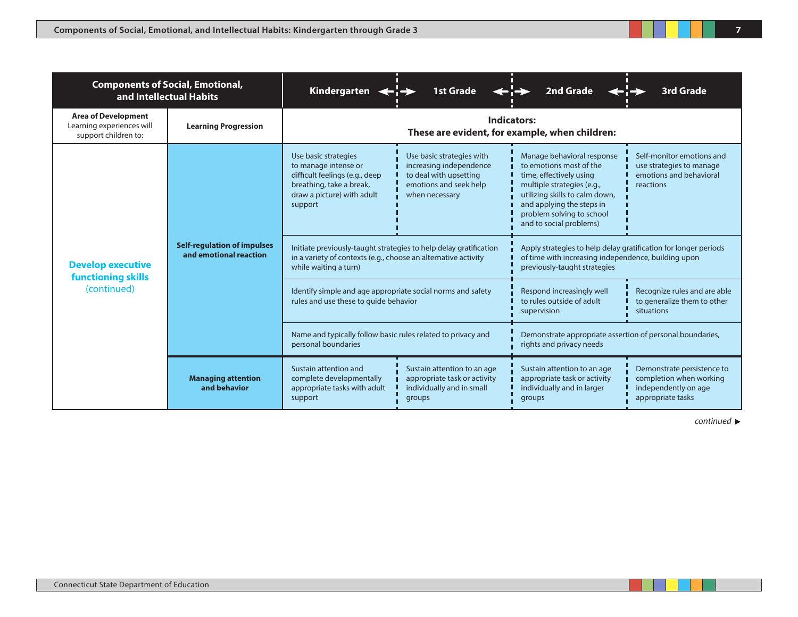| <b>Components of Social, Emotional,</b><br>and Intellectual Habits              |                                                              | Kindergarten $\leftarrow$ $\rightarrow$                                                                                                                      | <b>1st Grade</b>                                                                                                                     | 2nd Grade                                                                                                                                                                                                                             | <b>3rd Grade</b>                                                                                   |  |
|---------------------------------------------------------------------------------|--------------------------------------------------------------|--------------------------------------------------------------------------------------------------------------------------------------------------------------|--------------------------------------------------------------------------------------------------------------------------------------|---------------------------------------------------------------------------------------------------------------------------------------------------------------------------------------------------------------------------------------|----------------------------------------------------------------------------------------------------|--|
| <b>Area of Development</b><br>Learning experiences will<br>support children to: | <b>Learning Progression</b>                                  | Indicators:<br>These are evident, for example, when children:                                                                                                |                                                                                                                                      |                                                                                                                                                                                                                                       |                                                                                                    |  |
| <b>Develop executive</b><br><b>functioning skills</b><br>(continued)            | <b>Self-regulation of impulses</b><br>and emotional reaction | Use basic strategies<br>to manage intense or<br>difficult feelings (e.g., deep<br>breathing, take a break,<br>draw a picture) with adult<br>support          | Use basic strategies with<br>increasing independence<br>to deal with upsetting<br>emotions and seek help<br>when necessary           | Manage behavioral response<br>to emotions most of the<br>time, effectively using<br>multiple strategies (e.g.,<br>utilizing skills to calm down,<br>and applying the steps in<br>problem solving to school<br>and to social problems) | Self-monitor emotions and<br>use strategies to manage<br>emotions and behavioral<br>reactions      |  |
|                                                                                 |                                                              | Initiate previously-taught strategies to help delay gratification<br>in a variety of contexts (e.g., choose an alternative activity<br>while waiting a turn) |                                                                                                                                      | Apply strategies to help delay gratification for longer periods<br>of time with increasing independence, building upon<br>previously-taught strategies                                                                                |                                                                                                    |  |
|                                                                                 |                                                              | rules and use these to quide behavior                                                                                                                        | Identify simple and age appropriate social norms and safety<br>Respond increasingly well<br>to rules outside of adult<br>supervision |                                                                                                                                                                                                                                       | Recognize rules and are able<br>to generalize them to other<br>situations                          |  |
|                                                                                 |                                                              | Name and typically follow basic rules related to privacy and<br>personal boundaries                                                                          |                                                                                                                                      | Demonstrate appropriate assertion of personal boundaries,<br>rights and privacy needs                                                                                                                                                 |                                                                                                    |  |
|                                                                                 | <b>Managing attention</b><br>and behavior                    | Sustain attention and<br>complete developmentally<br>appropriate tasks with adult<br>support                                                                 | Sustain attention to an age<br>appropriate task or activity<br>individually and in small<br>groups                                   | Sustain attention to an age<br>appropriate task or activity<br>individually and in larger<br>groups                                                                                                                                   | Demonstrate persistence to<br>completion when working<br>independently on age<br>appropriate tasks |  |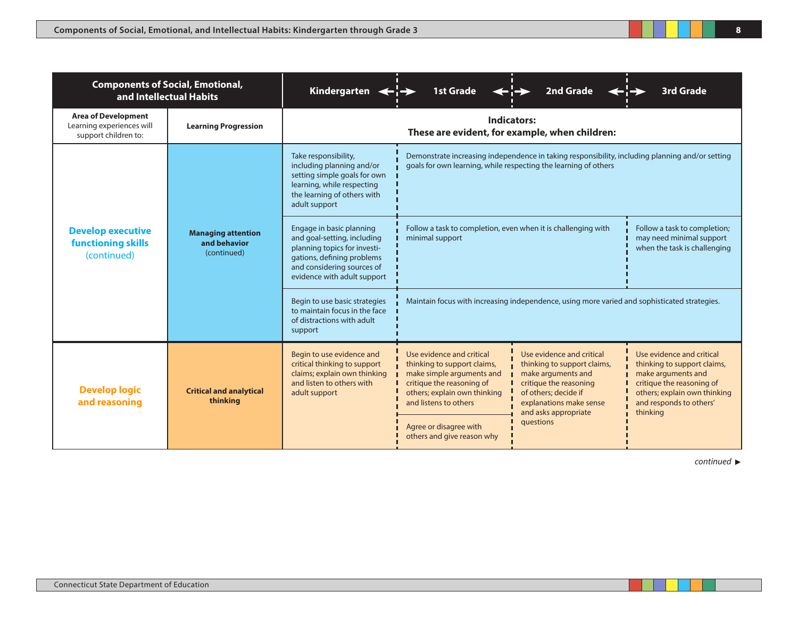| <b>Components of Social, Emotional,</b><br>and Intellectual Habits              |                                                          | Kindergarten $\leftarrow$                                                                                                                                                          | <b>1st Grade</b>                                                                                                                                                            | 2nd Grade                                                                                                                                                                           | 3rd Grade                                                                                                                                                                          |  |
|---------------------------------------------------------------------------------|----------------------------------------------------------|------------------------------------------------------------------------------------------------------------------------------------------------------------------------------------|-----------------------------------------------------------------------------------------------------------------------------------------------------------------------------|-------------------------------------------------------------------------------------------------------------------------------------------------------------------------------------|------------------------------------------------------------------------------------------------------------------------------------------------------------------------------------|--|
| <b>Area of Development</b><br>Learning experiences will<br>support children to: | <b>Learning Progression</b>                              | <b>Indicators:</b><br>These are evident, for example, when children:                                                                                                               |                                                                                                                                                                             |                                                                                                                                                                                     |                                                                                                                                                                                    |  |
|                                                                                 | <b>Managing attention</b><br>and behavior<br>(continued) | Take responsibility,<br>including planning and/or<br>setting simple goals for own<br>learning, while respecting<br>the learning of others with<br>adult support                    | Demonstrate increasing independence in taking responsibility, including planning and/or setting<br>goals for own learning, while respecting the learning of others          |                                                                                                                                                                                     |                                                                                                                                                                                    |  |
| <b>Develop executive</b><br><b>functioning skills</b><br>(continued)            |                                                          | Engage in basic planning<br>and goal-setting, including<br>planning topics for investi-<br>gations, defining problems<br>and considering sources of<br>evidence with adult support | Follow a task to completion, even when it is challenging with<br>minimal support                                                                                            |                                                                                                                                                                                     | Follow a task to completion;<br>may need minimal support<br>when the task is challenging                                                                                           |  |
|                                                                                 |                                                          | Begin to use basic strategies<br>to maintain focus in the face<br>of distractions with adult<br>support                                                                            |                                                                                                                                                                             | Maintain focus with increasing independence, using more varied and sophisticated strategies.                                                                                        |                                                                                                                                                                                    |  |
| <b>Develop logic</b><br>and reasoning                                           | <b>Critical and analytical</b><br>thinking               | Begin to use evidence and<br>critical thinking to support<br>claims; explain own thinking<br>and listen to others with<br>adult support                                            | Use evidence and critical<br>thinking to support claims,<br>make simple arguments and<br>critique the reasoning of<br>others; explain own thinking<br>and listens to others | Use evidence and critical<br>thinking to support claims,<br>make arguments and<br>critique the reasoning<br>of others: decide if<br>explanations make sense<br>and asks appropriate | Use evidence and critical<br>thinking to support claims,<br>make arguments and<br>critique the reasoning of<br>others; explain own thinking<br>and responds to others'<br>thinking |  |
|                                                                                 |                                                          |                                                                                                                                                                                    | Agree or disagree with<br>others and give reason why                                                                                                                        | questions                                                                                                                                                                           |                                                                                                                                                                                    |  |

**<sup>8</sup>**